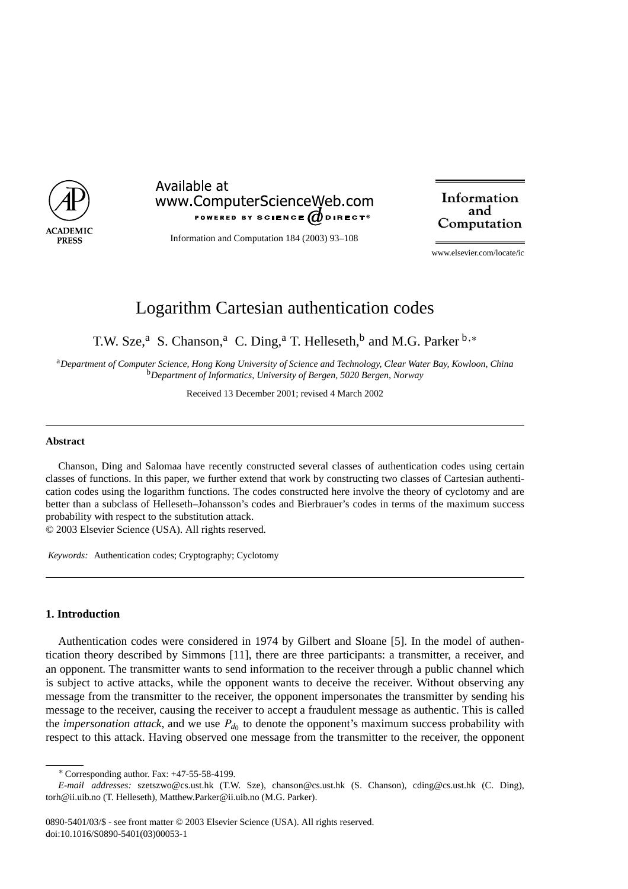

Available at www.ComputerScienceWeb.com POWERED BY SCIENCE  $\vec{a}$  direct<sup>®</sup>

Information and Computation 184 (2003) 93–108

Information and Computation

www.elsevier.com/locate/ic

# Logarithm Cartesian authentication codes

T.W. Sze,<sup>a</sup> S. Chanson,<sup>a</sup> C. Ding,<sup>a</sup> T. Helleseth,<sup>b</sup> and M.G. Parker  $b.*$ 

<sup>a</sup>*Department of Computer Science, Hong Kong University of Science and Technology, Clear Water Bay, Kowloon, China* <sup>b</sup>*Department of Informatics, University of Bergen, 5020 Bergen, Norway*

Received 13 December 2001; revised 4 March 2002

#### **Abstract**

Chanson, Ding and Salomaa have recently constructed several classes of authentication codes using certain classes of functions. In this paper, we further extend that work by constructing two classes of Cartesian authentication codes using the logarithm functions. The codes constructed here involve the theory of cyclotomy and are better than a subclass of Helleseth–Johansson's codes and Bierbrauer's codes in terms of the maximum success probability with respect to the substitution attack.

© 2003 Elsevier Science (USA). All rights reserved.

*Keywords:* Authentication codes; Cryptography; Cyclotomy

### **1. Introduction**

Authentication codes were considered in 1974 by Gilbert and Sloane [5]. In the model of authentication theory described by Simmons [11], there are three participants: a transmitter, a receiver, and an opponent. The transmitter wants to send information to the receiver through a public channel which is subject to active attacks, while the opponent wants to deceive the receiver. Without observing any message from the transmitter to the receiver, the opponent impersonates the transmitter by sending his message to the receiver, causing the receiver to accept a fraudulent message as authentic. This is called the *impersonation attack*, and we use  $P_{d_0}$  to denote the opponent's maximum success probability with respect to this attack. Having observed one message from the transmitter to the receiver, the opponent

<sup>∗</sup> Corresponding author. Fax: +47-55-58-4199.

*E-mail addresses:* szetszwo@cs.ust.hk (T.W. Sze), chanson@cs.ust.hk (S. Chanson), cding@cs.ust.hk (C. Ding), torh@ii.uib.no (T. Helleseth), Matthew.Parker@ii.uib.no (M.G. Parker).

<sup>0890-5401/03/\$ -</sup> see front matter © 2003 Elsevier Science (USA). All rights reserved. doi:10.1016/S0890-5401(03)00053-1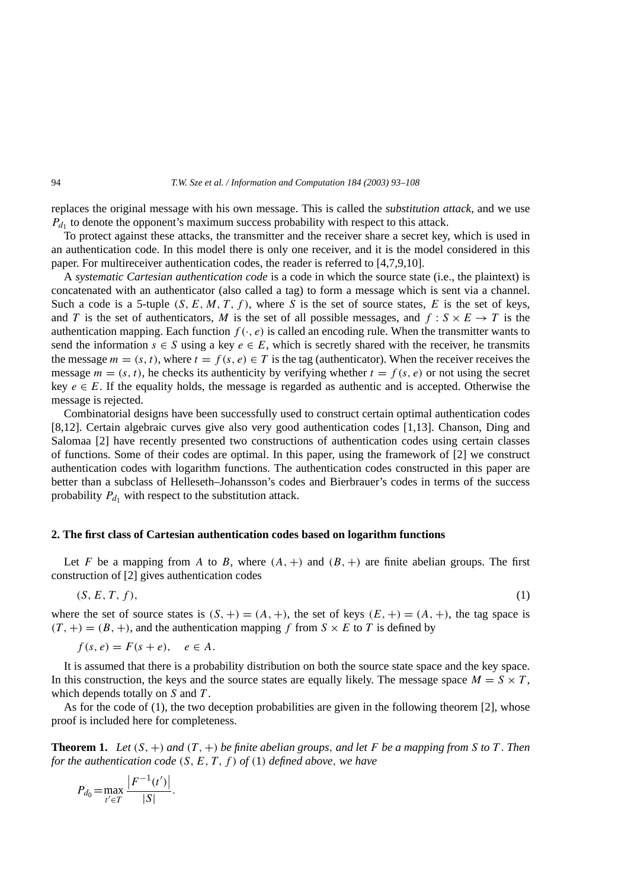replaces the original message with his own message. This is called the *substitution attack*, and we use  $P_{d_1}$  to denote the opponent's maximum success probability with respect to this attack.

To protect against these attacks, the transmitter and the receiver share a secret key, which is used in an authentication code. In this model there is only one receiver, and it is the model considered in this paper. For multireceiver authentication codes, the reader is referred to [4,7,9,10].

A *systematic Cartesian authentication code* is a code in which the source state (i.e., the plaintext) is concatenated with an authenticator (also called a tag) to form a message which is sent via a channel. Such a code is a 5-tuple  $(S, E, M, T, f)$ , where *S* is the set of source states, *E* is the set of keys, and *T* is the set of authenticators, *M* is the set of all possible messages, and  $f : S \times E \rightarrow T$  is the authentication mapping. Each function  $f(\cdot, e)$  is called an encoding rule. When the transmitter wants to send the information  $s \in S$  using a key  $e \in E$ , which is secretly shared with the receiver, he transmits the message  $m = (s, t)$ , where  $t = f(s, e) \in T$  is the tag (authenticator). When the receiver receives the message  $m = (s, t)$ , he checks its authenticity by verifying whether  $t = f(s, e)$  or not using the secret key  $e \in E$ . If the equality holds, the message is regarded as authentic and is accepted. Otherwise the message is rejected.

Combinatorial designs have been successfully used to construct certain optimal authentication codes [8,12]. Certain algebraic curves give also very good authentication codes [1,13]. Chanson, Ding and Salomaa [2] have recently presented two constructions of authentication codes using certain classes of functions. Some of their codes are optimal. In this paper, using the framework of [2] we construct authentication codes with logarithm functions. The authentication codes constructed in this paper are better than a subclass of Helleseth–Johansson's codes and Bierbrauer's codes in terms of the success probability  $P_{d_1}$  with respect to the substitution attack.

### **2. The first class of Cartesian authentication codes based on logarithm functions**

Let *F* be a mapping from *A* to *B*, where  $(A, +)$  and  $(B, +)$  are finite abelian groups. The first construction of [2] gives authentication codes

$$
(S, E, T, f), \tag{1}
$$

where the set of source states is  $(S, +) = (A, +)$ , the set of keys  $(E, +) = (A, +)$ , the tag space is  $(T, +) = (B, +)$ , and the authentication mapping *f* from  $S \times E$  to *T* is defined by

 $f(s, e) = F(s + e), \quad e \in A.$ 

It is assumed that there is a probability distribution on both the source state space and the key space. In this construction, the keys and the source states are equally likely. The message space  $M = S \times T$ , which depends totally on *S* and *T* .

As for the code of (1), the two deception probabilities are given in the following theorem [2], whose proof is included here for completeness.

**Theorem 1.** Let  $(S, +)$  and  $(T, +)$  be finite abelian groups, and let F be a mapping from S to T. Then *for the authentication code (S, E, T , f ) of (*1*) defined above, we have*

$$
P_{d_0} = \max_{t' \in T} \frac{|F^{-1}(t')|}{|S|}.
$$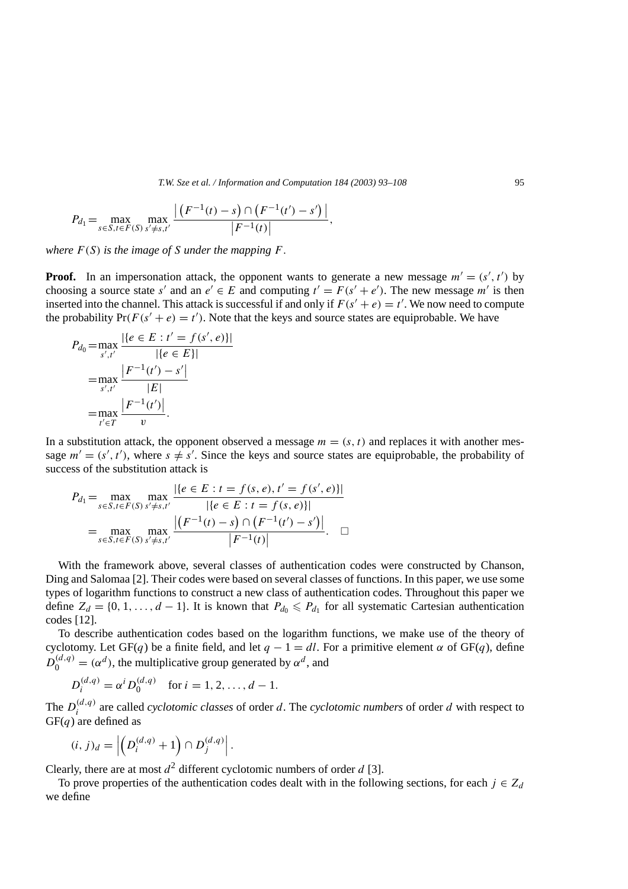$$
P_{d_1} = \max_{s \in S, t \in F(S)} \max_{s' \neq s, t'} \frac{\left| \left( F^{-1}(t) - s \right) \cap \left( F^{-1}(t') - s' \right) \right|}{\left| F^{-1}(t) \right|},
$$

*where F (S) is the image of S under the mapping F .*

**Proof.** In an impersonation attack, the opponent wants to generate a new message  $m' = (s', t')$  by choosing a source state *s'* and an  $e' \in E$  and computing  $t' = F(s' + e')$ . The new message *m'* is then inserted into the channel. This attack is successful if and only if  $F(s' + e) = t'$ . We now need to compute the probability  $Pr(F(s' + e) = t')$ . Note that the keys and source states are equiprobable. We have

$$
P_{d_0} = \max_{s',t'} \frac{|\{e \in E : t' = f(s', e)\}|}{|\{e \in E\}|}
$$
  
= 
$$
\max_{s',t'} \frac{|F^{-1}(t') - s'|}{|E|}
$$
  
= 
$$
\max_{t' \in T} \frac{|F^{-1}(t')|}{v}.
$$

In a substitution attack, the opponent observed a message  $m = (s, t)$  and replaces it with another message  $m' = (s', t')$ , where  $s \neq s'$ . Since the keys and source states are equiprobable, the probability of success of the substitution attack is

$$
P_{d_1} = \max_{s \in S, t \in F(S)} \max_{s' \neq s, t'} \frac{|\{e \in E : t = f(s, e), t' = f(s', e)\}|}{|\{e \in E : t = f(s, e)\}|}
$$
  
= 
$$
\max_{s \in S, t \in F(S)} \max_{s' \neq s, t'} \frac{|(F^{-1}(t) - s) \cap (F^{-1}(t') - s')|}{|F^{-1}(t)|}.
$$

With the framework above, several classes of authentication codes were constructed by Chanson, Ding and Salomaa [2]. Their codes were based on several classes of functions. In this paper, we use some types of logarithm functions to construct a new class of authentication codes. Throughout this paper we define  $Z_d = \{0, 1, \ldots, d-1\}$ . It is known that  $P_{d_0} \leq P_{d_1}$  for all systematic Cartesian authentication codes [12].

To describe authentication codes based on the logarithm functions, we make use of the theory of cyclotomy. Let  $GF(q)$  be a finite field, and let  $q - 1 = dl$ . For a primitive element  $\alpha$  of  $GF(q)$ , define  $D_0^{(d,q)} = (\alpha^d)$ , the multiplicative group generated by  $\alpha^d$ , and

$$
D_i^{(d,q)} = \alpha^i D_0^{(d,q)} \quad \text{for } i = 1, 2, \dots, d-1.
$$

The  $D_i^{(d,q)}$  are called *cyclotomic classes* of order *d*. The *cyclotomic numbers* of order *d* with respect to GF(*q*) are defined as

$$
(i, j)d = \left| \left( D_i^{(d,q)} + 1 \right) \cap D_j^{(d,q)} \right|.
$$

Clearly, there are at most  $d^2$  different cyclotomic numbers of order *d* [3].

To prove properties of the authentication codes dealt with in the following sections, for each  $j \in Z_d$ we define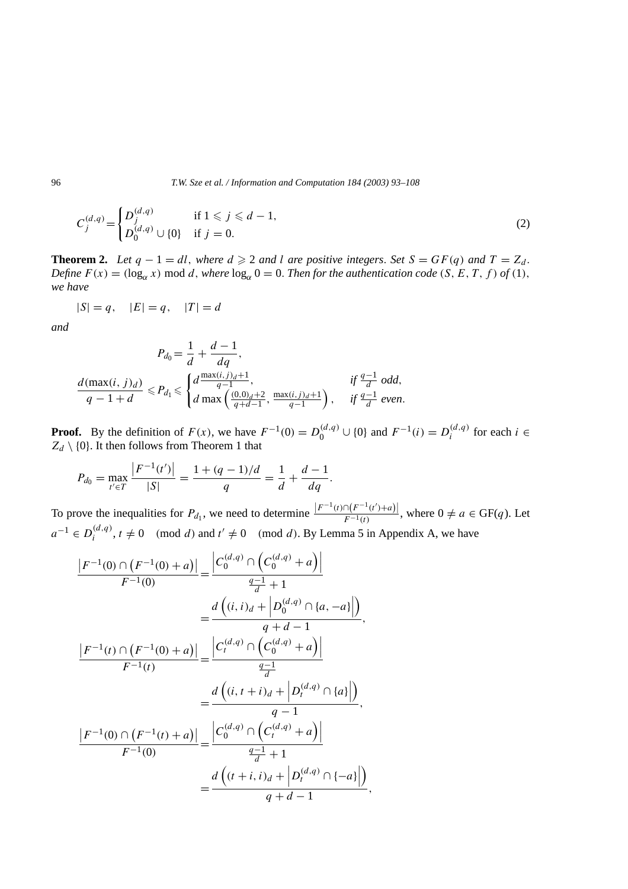$$
C_j^{(d,q)} = \begin{cases} D_j^{(d,q)} & \text{if } 1 \le j \le d-1, \\ D_0^{(d,q)} \cup \{0\} & \text{if } j = 0. \end{cases}
$$
 (2)

**Theorem 2.** Let  $q - 1 = dl$ , where  $d \ge 2$  and l are positive integers. Set  $S = GF(q)$  and  $T = Z_d$ . *Define*  $F(x) = (\log_a x) \text{ mod } d$ , *where*  $\log_a 0 = 0$ . *Then for the authentication code*  $(S, E, T, f)$  *of*  $(1)$ , *we have*

$$
|S| = q, \quad |E| = q, \quad |T| = d
$$

*and*

$$
P_{d_0} = \frac{1}{d} + \frac{d-1}{dq},
$$
  

$$
\frac{d(\max(i, j)d)}{q - 1 + d} \le P_{d_1} \le \begin{cases} d^{\frac{\max(i, j)}{q - 1}}, & \text{if } \frac{q - 1}{d} \text{ odd}, \\ d^{\frac{(\mathbf{0}, \mathbf{0})d + 2}{q + d - 1}}, & \text{if } \frac{q - 1}{d} \text{ even}. \end{cases}
$$

**Proof.** By the definition of  $F(x)$ , we have  $F^{-1}(0) = D_0^{(d,q)} \cup \{0\}$  and  $F^{-1}(i) = D_i^{(d,q)}$  for each  $i \in$  $Z_d \setminus \{0\}$ . It then follows from Theorem 1 that

$$
P_{d_0} = \max_{t' \in T} \frac{|F^{-1}(t')|}{|S|} = \frac{1 + (q - 1)/d}{q} = \frac{1}{d} + \frac{d - 1}{dq}.
$$

To prove the inequalities for  $P_{d_1}$ , we need to determine  $\frac{|F^{-1}(t) \cap (F^{-1}(t') + a)|}{F^{-1}(t)}$ , where  $0 \neq a \in \text{GF}(q)$ . Let  $a^{-1} \in D_i^{(d,q)}$ ,  $t \neq 0 \pmod{d}$  and  $t' \neq 0 \pmod{d}$ . By Lemma 5 in Appendix A, we have

$$
\frac{|F^{-1}(0) \cap (F^{-1}(0) + a)|}{F^{-1}(0)} = \frac{\left|C_0^{(d,q)} \cap (C_0^{(d,q)} + a)\right|}{\frac{q-1}{d} + 1}
$$

$$
= \frac{d((i, i)_d + |D_0^{(d,q)} \cap \{a, -a\}|\right)}{q + d - 1},
$$

$$
\frac{|F^{-1}(t) \cap (F^{-1}(0) + a)|}{F^{-1}(t)} = \frac{\left|C_t^{(d,q)} \cap (C_0^{(d,q)} + a)\right|}{\frac{q-1}{d}}
$$

$$
= \frac{d((i, t + i)_d + |D_t^{(d,q)} \cap \{a\}|\right)}{q - 1},
$$

$$
\frac{|F^{-1}(0) \cap (F^{-1}(t) + a)|}{F^{-1}(0)} = \frac{|C_0^{(d,q)} \cap (C_t^{(d,q)} + a)|}{\frac{q-1}{d} + 1}
$$

$$
= \frac{d((t + i, i)_d + |D_t^{(d,q)} \cap \{-a\}|\right)}{q + d - 1},
$$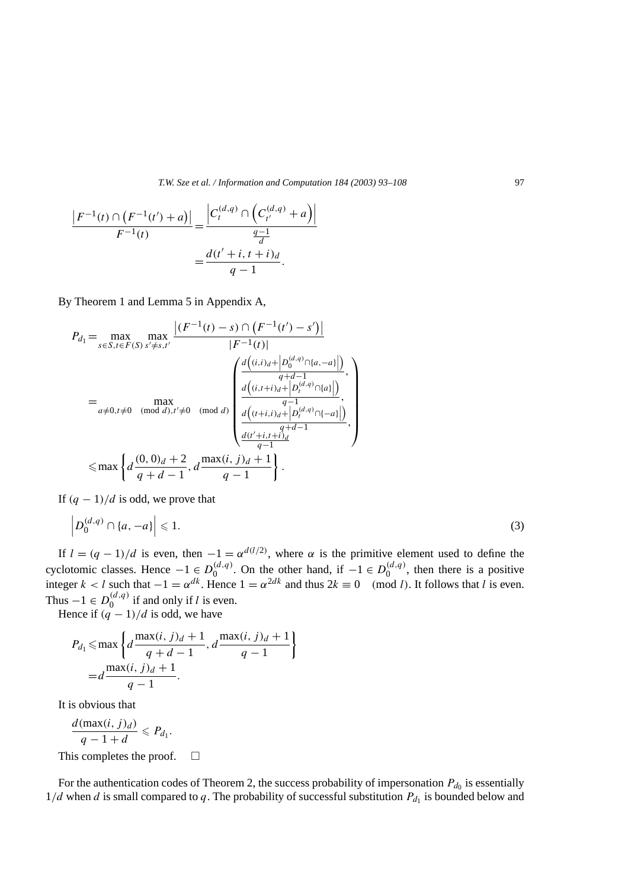$$
\frac{|F^{-1}(t) \cap (F^{-1}(t') + a)|}{F^{-1}(t)} = \frac{\left|C_t^{(d,q)} \cap (C_{t'}^{(d,q)} + a)\right|}{\frac{q-1}{d}}
$$

$$
= \frac{d(t' + i, t + i)_d}{q - 1}.
$$

By Theorem 1 and Lemma 5 in Appendix A,

$$
P_{d_1} = \max_{s \in S, t \in F(S)} \max_{s' \neq s, t'} \frac{|(F^{-1}(t) - s) \cap (F^{-1}(t') - s')|}{|F^{-1}(t)|}
$$
  
\n
$$
= \max_{a \neq 0, t \neq 0} \max_{(\text{mod } d), t' \neq 0} \frac{d((i, i)_{d} + |D_0^{(d,q)} \cap \{a, -a\}|)}{d((i, t + i)_{d} + |D_t^{(d,q)} \cap \{a\}|)}.
$$
  
\n
$$
\leq \max \left\{ d \frac{(0, 0)_{d} + 2}{q + d - 1}, d \frac{\max(i, j)_{d} + 1}{q - 1}, \frac{d((i + i, i)_{d} + 1)}{q - 1} \right\}.
$$

If  $(q - 1)/d$  is odd, we prove that

$$
\left| D_0^{(d,q)} \cap \{a, -a\} \right| \leqslant 1. \tag{3}
$$

If  $l = (q - 1)/d$  is even, then  $-1 = \alpha^{d(l/2)}$ , where  $\alpha$  is the primitive element used to define the cyclotomic classes. Hence  $-1 \in D_0^{(d,q)}$ . On the other hand, if  $-1 \in D_0^{(d,q)}$ , then there is a positive integer  $k < l$  such that  $-1 = \alpha^{dk}$ . Hence  $1 = \alpha^{2dk}$  and thus  $2k \equiv 0 \pmod{l}$ . It follows that *l* is even. Thus  $-1 \in D_0^{(d,q)}$  if and only if *l* is even.

Hence if  $(q - 1)/d$  is odd, we have

$$
P_{d_1} \le \max\left\{d \frac{\max(i, j)_d + 1}{q + d - 1}, d \frac{\max(i, j)_d + 1}{q - 1}\right\}
$$
  
=  $d \frac{\max(i, j)_d + 1}{q - 1}$ .

It is obvious that

$$
\frac{d(\max(i, j)d)}{q-1+d} \leq P_{d_1}.
$$

This completes the proof.  $\square$ 

For the authentication codes of Theorem 2, the success probability of impersonation  $P_{d_0}$  is essentially  $1/d$  when *d* is small compared to *q*. The probability of successful substitution  $P_{d_1}$  is bounded below and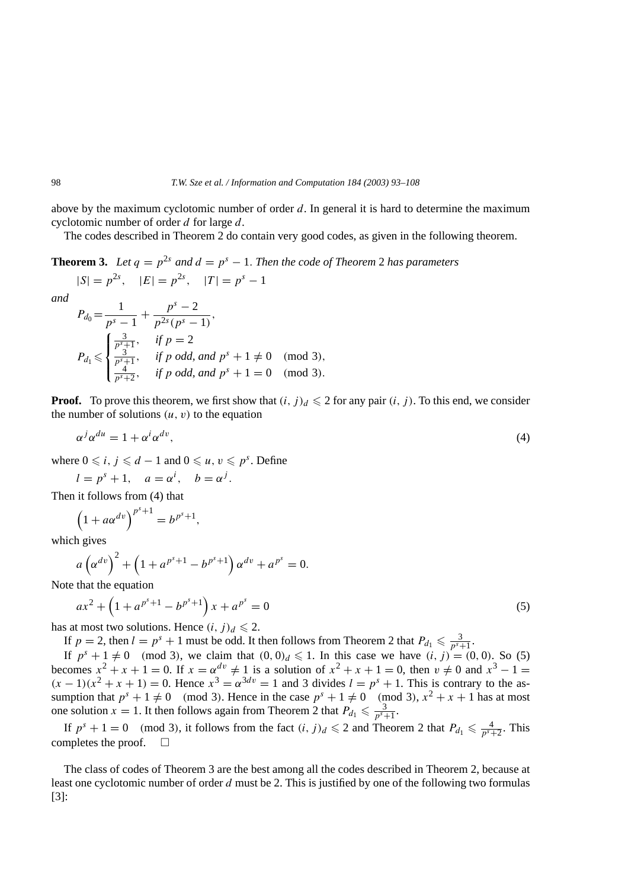above by the maximum cyclotomic number of order *d*. In general it is hard to determine the maximum cyclotomic number of order *d* for large *d*.

The codes described in Theorem 2 do contain very good codes, as given in the following theorem.

**Theorem 3.** *Let*  $q = p^{2s}$  *and*  $d = p^s - 1$ *. Then the code of Theorem* 2 *has parameters*  $|S| = p^{2s}$ ,  $|E| = p^{2s}$ ,  $|T| = p^s - 1$ 

*and*

$$
P_{d_0} = \frac{1}{p^s - 1} + \frac{p^s - 2}{p^{2s}(p^s - 1)},
$$
  
\n
$$
P_{d_1} \le \begin{cases} \frac{3}{p^s + 1}, & \text{if } p = 2\\ \frac{4}{p^s + 2}, & \text{if } p \text{ odd, and } p^s + 1 \ne 0 \pmod{3},\\ \frac{4}{p^s + 2}, & \text{if } p \text{ odd, and } p^s + 1 = 0 \pmod{3}. \end{cases}
$$

**Proof.** To prove this theorem, we first show that  $(i, j)_d \leq 2$  for any pair  $(i, j)$ . To this end, we consider the number of solutions  $(u, v)$  to the equation

$$
\alpha^j \alpha^{du} = 1 + \alpha^i \alpha^{dv},\tag{4}
$$

where  $0 \le i, j \le d - 1$  and  $0 \le u, v \le p^s$ . Define

 $l = p^s + 1$ ,  $a = \alpha^i$ ,  $b = \alpha^j$ .

Then it follows from (4) that

$$
\left(1+a\alpha^{dv}\right)^{p^s+1}=b^{p^s+1},
$$

which gives

$$
a\left(\alpha^{dv}\right)^{2} + \left(1 + a^{p^{s}+1} - b^{p^{s}+1}\right)\alpha^{dv} + a^{p^{s}} = 0.
$$

Note that the equation

$$
ax^{2} + \left(1 + a^{p^{s}+1} - b^{p^{s}+1}\right)x + a^{p^{s}} = 0
$$
\n(5)

has at most two solutions. Hence  $(i, j)_d \leq 2$ .

If  $p = 2$ , then  $l = p^s + 1$  must be odd. It then follows from Theorem 2 that  $P_{d_1} \leqslant \frac{3}{p^s+1}$ .

If  $p^{s} + 1 \neq 0$  (mod 3), we claim that  $(0, 0)_{d} \leq 1$ . In this case we have  $(i, j) = (0, 0)$ . So (5) becomes  $x^2 + x + 1 = 0$ . If  $x = \alpha^{dv} \neq 1$  is a solution of  $x^2 + x + 1 = 0$ , then  $v \neq 0$  and  $x^3 - 1 = 0$  $(x - 1)(x<sup>2</sup> + x + 1) = 0$ . Hence  $x<sup>3</sup> = \alpha<sup>3</sup> d<sup>v</sup> = 1$  and 3 divides  $l = p<sup>s</sup> + 1$ . This is contrary to the assumption that  $p^s + 1 \neq 0$  *(mod 3)*. Hence in the case  $p^s + 1 \neq 0$  *(mod 3)*,  $x^2 + x + 1$  has at most one solution  $x = 1$ . It then follows again from Theorem 2 that  $P_{d_1} \leq \frac{3}{p^s+1}$ .

If  $p^s + 1 = 0 \pmod{3}$ , it follows from the fact  $(i, j)_d \leq 2$  and Theorem 2 that  $P_{d_1} \leq \frac{4}{p^s + 2}$ . This completes the proof.  $\square$ 

The class of codes of Theorem 3 are the best among all the codes described in Theorem 2, because at least one cyclotomic number of order *d* must be 2. This is justified by one of the following two formulas [3]: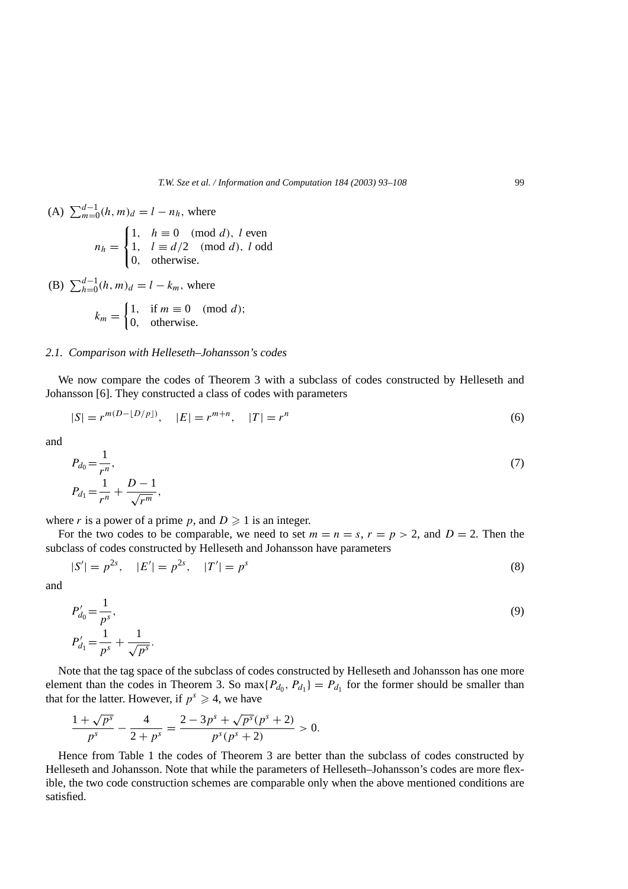(A) 
$$
\sum_{m=0}^{d-1} (h, m)_d = l - n_h, \text{ where}
$$

$$
n_h = \begin{cases} 1, & h \equiv 0 \pmod{d}, l \text{ even} \\ 1, & l \equiv d/2 \pmod{d}, l \text{ odd} \\ 0, & \text{otherwise.} \end{cases}
$$

(B)  $\sum_{h=0}^{d-1} (h, m)_d = l - k_m$ , where

$$
k_m = \begin{cases} 1, & \text{if } m \equiv 0 \pmod{d}; \\ 0, & \text{otherwise.} \end{cases}
$$

#### *2.1. Comparison with Helleseth–Johansson's codes*

We now compare the codes of Theorem 3 with a subclass of codes constructed by Helleseth and Johansson [6]. They constructed a class of codes with parameters

$$
|S| = r^{m(D - \lfloor D/p \rfloor)}, \quad |E| = r^{m+n}, \quad |T| = r^n \tag{6}
$$

and

$$
P_{d_0} = \frac{1}{r^n},
$$
  
\n
$$
P_{d_1} = \frac{1}{r^n} + \frac{D-1}{\sqrt{r^m}},
$$
\n(7)

where *r* is a power of a prime *p*, and  $D \ge 1$  is an integer.

For the two codes to be comparable, we need to set  $m = n = s$ ,  $r = p > 2$ , and  $D = 2$ . Then the subclass of codes constructed by Helleseth and Johansson have parameters

$$
|S'| = p^{2s}, \quad |E'| = p^{2s}, \quad |T'| = p^s \tag{8}
$$

and

$$
P'_{d_0} = \frac{1}{p^s},
$$
  
\n
$$
P'_{d_1} = \frac{1}{p^s} + \frac{1}{\sqrt{p^s}}.
$$
\n(9)

Note that the tag space of the subclass of codes constructed by Helleseth and Johansson has one more element than the codes in Theorem 3. So max $\{P_{d_0}, P_{d_1}\} = P_{d_1}$  for the former should be smaller than that for the latter. However, if  $p^s \geq 4$ , we have

$$
\frac{1+\sqrt{p^s}}{p^s} - \frac{4}{2+p^s} = \frac{2-3p^s+\sqrt{p^s}(p^s+2)}{p^s(p^s+2)} > 0.
$$

Hence from Table 1 the codes of Theorem 3 are better than the subclass of codes constructed by Helleseth and Johansson. Note that while the parameters of Helleseth–Johansson's codes are more flexible, the two code construction schemes are comparable only when the above mentioned conditions are satisfied.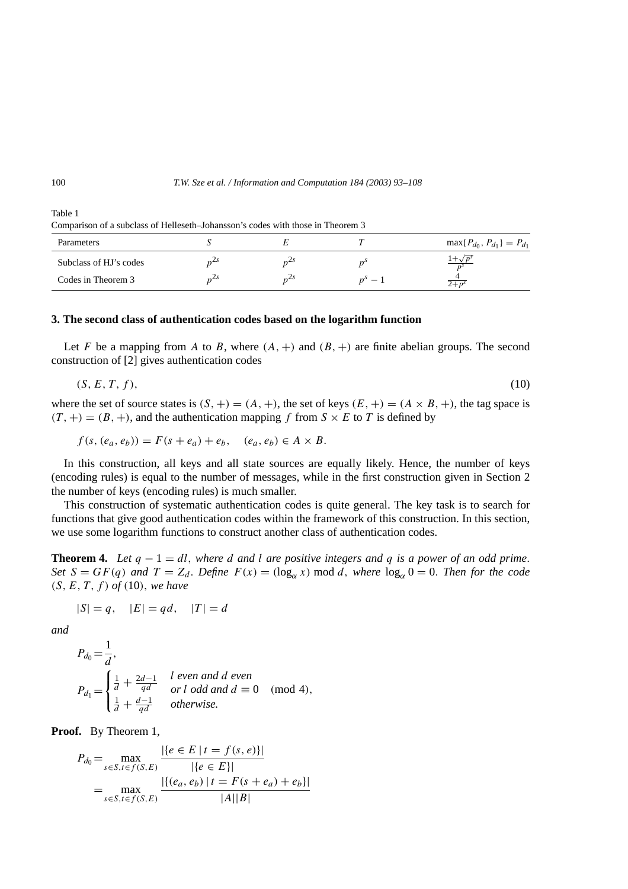| Comparison of a subclass of Henescui-Jonansson's couls with those in Theorem 5 |  |  |         |                                   |
|--------------------------------------------------------------------------------|--|--|---------|-----------------------------------|
| Parameters                                                                     |  |  |         | $max\{P_{d_0}, P_{d_1}\}=P_{d_1}$ |
| Subclass of HJ's codes                                                         |  |  |         |                                   |
| Codes in Theorem 3                                                             |  |  | $n^s=1$ | $2+p^{s}$                         |

Table 1 Comparison of a subclass of Helleseth–Johansson's codes with those in Theorem 3

#### **3. The second class of authentication codes based on the logarithm function**

Let *F* be a mapping from *A* to *B*, where  $(A, +)$  and  $(B, +)$  are finite abelian groups. The second construction of [2] gives authentication codes

$$
(S, E, T, f), \tag{10}
$$

where the set of source states is  $(S, +) = (A, +)$ , the set of keys  $(E, +) = (A \times B, +)$ , the tag space is  $(T, +) = (B, +)$ , and the authentication mapping *f* from *S* × *E* to *T* is defined by

$$
f(s, (e_a, e_b)) = F(s + e_a) + e_b, \quad (e_a, e_b) \in A \times B.
$$

In this construction, all keys and all state sources are equally likely. Hence, the number of keys (encoding rules) is equal to the number of messages, while in the first construction given in Section 2 the number of keys (encoding rules) is much smaller.

This construction of systematic authentication codes is quite general. The key task is to search for functions that give good authentication codes within the framework of this construction. In this section, we use some logarithm functions to construct another class of authentication codes.

**Theorem 4.** *Let*  $q - 1 = dl$ , *where d and l are positive integers and q is a power of an odd prime*. *Set*  $S = GF(q)$  *and*  $T = Z_d$ . *Define*  $F(x) = (\log_a x) \text{ mod } d$ , *where*  $\log_a 0 = 0$ . *Then for the code (S, E, T , f ) of (*10*), we have*

$$
|S| = q, \quad |E| = qd, \quad |T| = d
$$

*and*

$$
P_{d_0} = \frac{1}{d},
$$
  
\n
$$
P_{d_1} = \begin{cases} \frac{1}{d} + \frac{2d-1}{qd} & \text{for } l \text{ odd and } d \equiv 0 \pmod{4}, \\ \frac{1}{d} + \frac{d-1}{qd} & \text{otherwise.} \end{cases}
$$

**Proof.** By Theorem 1,

$$
P_{d_0} = \max_{s \in S, t \in f(S, E)} \frac{|\{e \in E \mid t = f(s, e)\}|}{|\{e \in E\}|}
$$
  
= 
$$
\max_{s \in S, t \in f(S, E)} \frac{|\{(e_a, e_b) \mid t = F(s + e_a) + e_b\}|}{|A||B|}
$$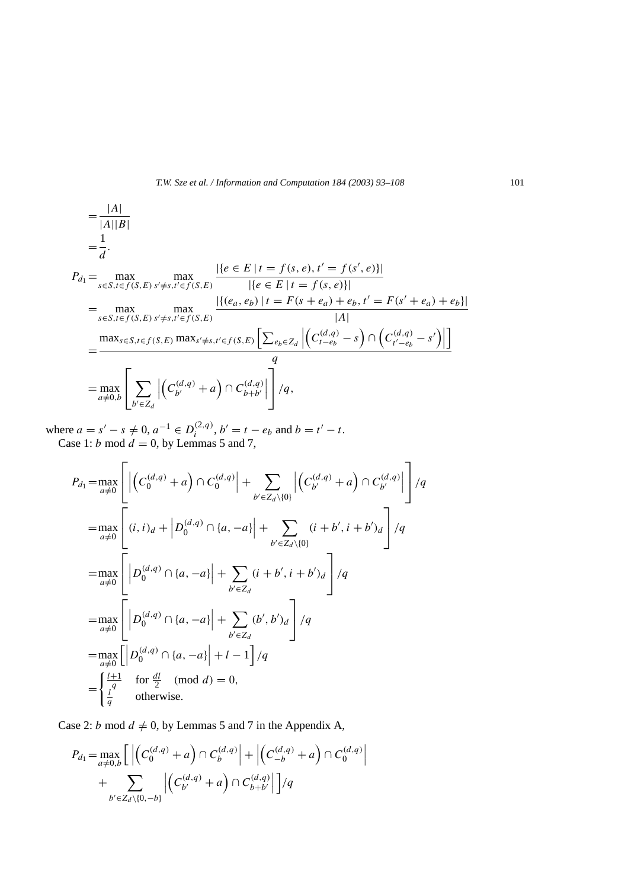$$
\begin{split}\n&= \frac{|A|}{|A||B|} \\
&= \frac{1}{d}.\n\end{split}
$$
\n
$$
P_{d_1} = \max_{s \in S, t \in f(S, E)} \max_{s' \neq s, t' \in f(S, E)} \frac{|\{e \in E \mid t = f(s, e), t' = f(s', e)\}|}{|\{e \in E \mid t = f(s, e)\}|} \\
&= \max_{s \in S, t \in f(S, E)} \max_{s' \neq s, t' \in f(S, E)} \frac{|\{(e_a, e_b) \mid t = F(s + e_a) + e_b, t' = F(s' + e_a) + e_b\}|}{|A|} \\
&= \frac{\max_{s \in S, t \in f(S, E)} \max_{s' \neq s, t' \in f(S, E)} \left[\sum_{e_b \in Z_d} \left| \left(C_{t - e_b}^{(d, q)} - s\right) \cap \left(C_{t' - e_b}^{(d, q)} - s'\right)\right|\right]}{q} \\
&= \max_{a \neq 0, b} \left[\sum_{b' \in Z_d} \left| \left(C_{b'}^{(d, q)} + a\right) \cap C_{b + b'}^{(d, q)}\right| \right] / q,\n\end{split}
$$

where  $a = s' - s \neq 0$ ,  $a^{-1} \in D_i^{(2,q)}$ ,  $b' = t - e_b$  and  $b = t' - t$ . Case 1: *b* mod  $d = 0$ , by Lemmas 5 and 7,

$$
P_{d_1} = \max_{a \neq 0} \left[ \left| \left( C_0^{(d,q)} + a \right) \cap C_0^{(d,q)} \right| + \sum_{b' \in Z_d \setminus \{0\}} \left| \left( C_{b'}^{(d,q)} + a \right) \cap C_{b'}^{(d,q)} \right| \right] / q
$$
  
\n
$$
= \max_{a \neq 0} \left[ (i, i)_d + \left| D_0^{(d,q)} \cap \{a, -a\} \right| + \sum_{b' \in Z_d \setminus \{0\}} (i + b', i + b')_d \right] / q
$$
  
\n
$$
= \max_{a \neq 0} \left[ \left| D_0^{(d,q)} \cap \{a, -a\} \right| + \sum_{b' \in Z_d} (i + b', i + b')_d \right] / q
$$
  
\n
$$
= \max_{a \neq 0} \left[ \left| D_0^{(d,q)} \cap \{a, -a\} \right| + \sum_{b' \in Z_d} (b', b')_d \right] / q
$$
  
\n
$$
= \max_{a \neq 0} \left[ \left| D_0^{(d,q)} \cap \{a, -a\} \right| + l - 1 \right] / q
$$
  
\n
$$
= \begin{cases} \frac{l+1}{q} & \text{for } \frac{dl}{2} \pmod{d} = 0, \\ \frac{l^d}{q} & \text{otherwise.} \end{cases}
$$

Case 2: *b* mod  $d \neq 0$ , by Lemmas 5 and 7 in the Appendix A,

$$
P_{d_1} = \max_{a \neq 0, b} \left[ \left| \left( C_0^{(d,q)} + a \right) \cap C_b^{(d,q)} \right| + \left| \left( C_{-b}^{(d,q)} + a \right) \cap C_0^{(d,q)} \right| + \sum_{b' \in Z_d \setminus \{0, -b\}} \left| \left( C_{b'}^{(d,q)} + a \right) \cap C_{b+b'}^{(d,q)} \right| \right] / q
$$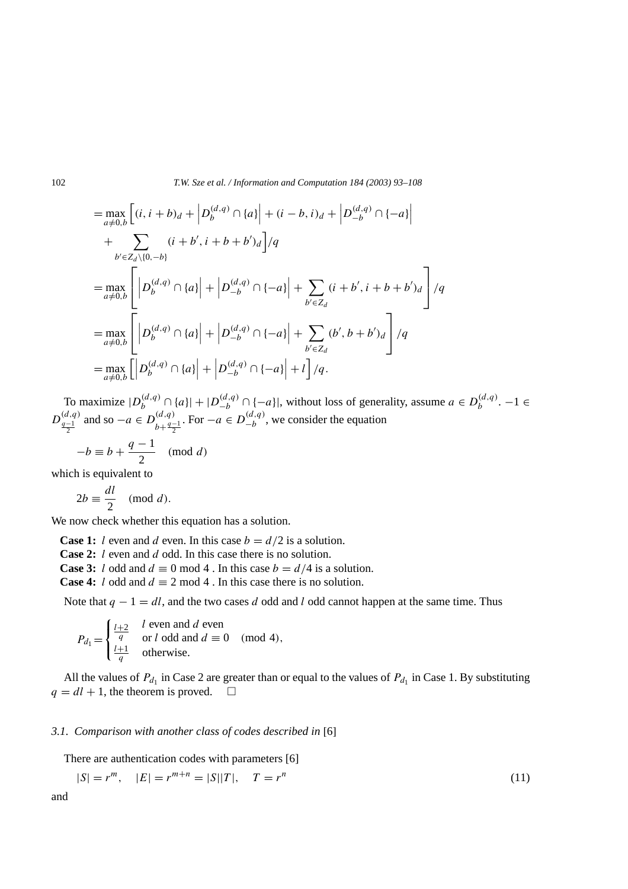$$
= \max_{a \neq 0,b} \left[ (i, i+b)_d + \left| D_b^{(d,q)} \cap \{a\} \right| + (i-b, i)_d + \left| D_{-b}^{(d,q)} \cap \{-a\} \right| \right.
$$
  
+ 
$$
\sum_{b' \in Z_d \setminus \{0,-b\}} (i+b', i+b+b')_d \left] / q
$$
  
= 
$$
\max_{a \neq 0,b} \left[ \left| D_b^{(d,q)} \cap \{a\} \right| + \left| D_{-b}^{(d,q)} \cap \{-a\} \right| + \sum_{b' \in Z_d} (i+b', i+b+b')_d \right] / q
$$
  
= 
$$
\max_{a \neq 0,b} \left[ \left| D_b^{(d,q)} \cap \{a\} \right| + \left| D_{-b}^{(d,q)} \cap \{-a\} \right| + \sum_{b' \in Z_d} (b', b+b')_d \right] / q
$$
  
= 
$$
\max_{a \neq 0,b} \left[ \left| D_b^{(d,q)} \cap \{a\} \right| + \left| D_{-b}^{(d,q)} \cap \{-a\} \right| + l \right] / q.
$$

To maximize  $|D_b^{(d,q)} \cap \{a\}| + |D_{-b}^{(d,q)} \cap \{-a\}|$ , without loss of generality, assume  $a \in D_b^{(d,q)}$ . -1  $\in$  $D_{\frac{q-1}{2}}^{(d,q)}$ and so  $-a \in D_{b+\frac{q-1}{2}}^{(d,q)}$  $F$  For  $-a ∈ D<sub>-b</sub><sup>(d,q)</sup>$ , we consider the equation

$$
-b \equiv b + \frac{q-1}{2} \pmod{d}
$$

which is equivalent to

$$
2b \equiv \frac{dl}{2} \pmod{d}.
$$

We now check whether this equation has a solution.

**Case 1:** *l* even and *d* even. In this case  $b = d/2$  is a solution.

**Case 2:** *l* even and *d* odd. In this case there is no solution.

**Case 3:** *l* odd and  $d \equiv 0 \text{ mod } 4$ . In this case  $b = d/4$  is a solution.

**Case 4:** *l* odd and  $d \equiv 2 \text{ mod } 4$ . In this case there is no solution.

Note that *q* − 1 = *dl*, and the two cases *d* odd and *l* odd cannot happen at the same time. Thus

$$
P_{d_1} = \begin{cases} \frac{l+2}{q} & l \text{ even and } d \text{ even} \\ \frac{l+1}{q} & \text{or } l \text{ odd and } d \equiv 0 \pmod{4}, \\ 0 & \text{otherwise.} \end{cases}
$$

All the values of  $P_{d_1}$  in Case 2 are greater than or equal to the values of  $P_{d_1}$  in Case 1. By substituting  $q = dl + 1$ , the theorem is proved.  $\square$ 

# *3.1. Comparison with another class of codes described in* [6]

There are authentication codes with parameters [6]

$$
|S| = r^m, \quad |E| = r^{m+n} = |S||T|, \quad T = r^n \tag{11}
$$

and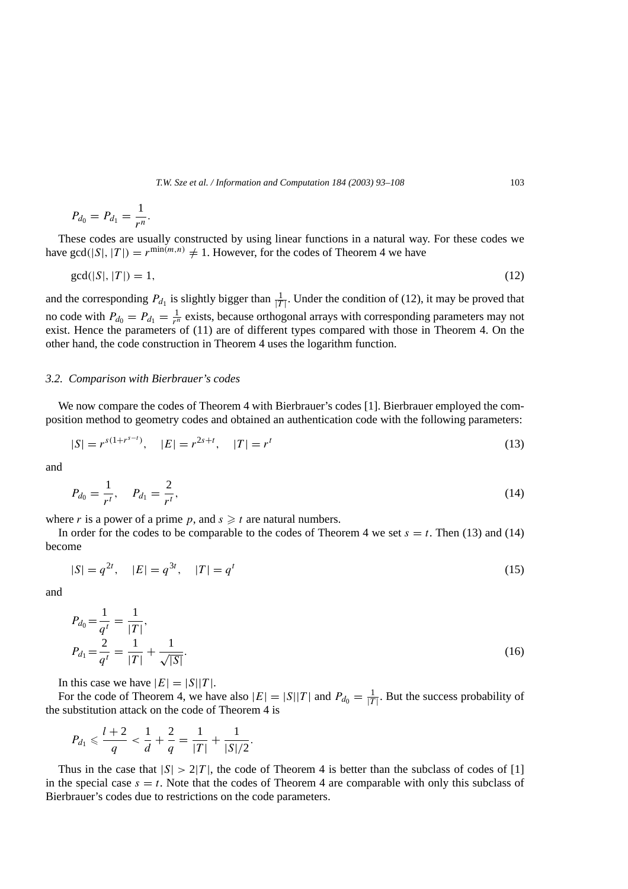$$
P_{d_0}=P_{d_1}=\frac{1}{r^n}.
$$

These codes are usually constructed by using linear functions in a natural way. For these codes we have gcd(|S|, |T|) =  $r^{\min(m,n)} \neq 1$ . However, for the codes of Theorem 4 we have

$$
\gcd(|S|, |T|) = 1,\tag{12}
$$

and the corresponding  $P_{d_1}$  is slightly bigger than  $\frac{1}{|T|}$ . Under the condition of (12), it may be proved that no code with  $P_{d_0} = P_{d_1} = \frac{1}{r^n}$  exists, because orthogonal arrays with corresponding parameters may not exist. Hence the parameters of (11) are of different types compared with those in Theorem 4. On the other hand, the code construction in Theorem 4 uses the logarithm function.

### *3.2. Comparison with Bierbrauer's codes*

We now compare the codes of Theorem 4 with Bierbrauer's codes [1]. Bierbrauer employed the composition method to geometry codes and obtained an authentication code with the following parameters:

$$
|S| = r^{s(1+r^{s-t})}, \quad |E| = r^{2s+t}, \quad |T| = r^t
$$
\n(13)

and

$$
P_{d_0} = \frac{1}{r^t}, \quad P_{d_1} = \frac{2}{r^t}, \tag{14}
$$

where *r* is a power of a prime *p*, and  $s \geq t$  are natural numbers.

In order for the codes to be comparable to the codes of Theorem 4 we set  $s = t$ . Then (13) and (14) become

$$
|S| = q^{2t}, \quad |E| = q^{3t}, \quad |T| = q^t \tag{15}
$$

and

$$
P_{d_0} = \frac{1}{q^t} = \frac{1}{|T|},
$$
  
\n
$$
P_{d_1} = \frac{2}{q^t} = \frac{1}{|T|} + \frac{1}{\sqrt{|S|}}.
$$
\n(16)

In this case we have  $|E|=|S||T|$ .

For the code of Theorem 4, we have also  $|E| = |S||T|$  and  $P_{d_0} = \frac{1}{|T|}$ . But the success probability of the substitution attack on the code of Theorem 4 is

$$
P_{d_1} \leq \frac{l+2}{q} < \frac{1}{d} + \frac{2}{q} = \frac{1}{|T|} + \frac{1}{|S|/2}.
$$

Thus in the case that  $|S| > 2|T|$ , the code of Theorem 4 is better than the subclass of codes of [1] in the special case  $s = t$ . Note that the codes of Theorem 4 are comparable with only this subclass of Bierbrauer's codes due to restrictions on the code parameters.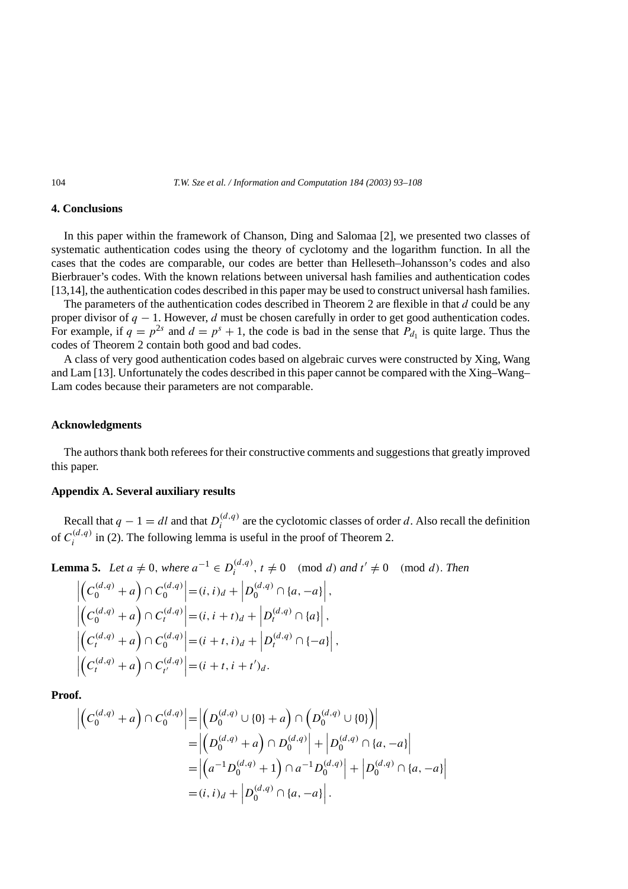## **4. Conclusions**

In this paper within the framework of Chanson, Ding and Salomaa [2], we presented two classes of systematic authentication codes using the theory of cyclotomy and the logarithm function. In all the cases that the codes are comparable, our codes are better than Helleseth–Johansson's codes and also Bierbrauer's codes. With the known relations between universal hash families and authentication codes [13,14], the authentication codes described in this paper may be used to construct universal hash families.

The parameters of the authentication codes described in Theorem 2 are flexible in that *d* could be any proper divisor of *q* − 1. However, *d* must be chosen carefully in order to get good authentication codes. For example, if  $q = p^{2s}$  and  $d = p^s + 1$ , the code is bad in the sense that  $P_{d_1}$  is quite large. Thus the codes of Theorem 2 contain both good and bad codes.

A class of very good authentication codes based on algebraic curves were constructed by Xing, Wang and Lam [13]. Unfortunately the codes described in this paper cannot be compared with the Xing–Wang– Lam codes because their parameters are not comparable.

# **Acknowledgments**

The authors thank both referees for their constructive comments and suggestions that greatly improved this paper.

# **Appendix A. Several auxiliary results**

Recall that  $q - 1 = dl$  and that  $D_i^{(d,q)}$  are the cyclotomic classes of order *d*. Also recall the definition of  $C_i^{(d,q)}$  in (2). The following lemma is useful in the proof of Theorem 2.

**Lemma 5.** Let 
$$
a \neq 0
$$
, where  $a^{-1} \in D_i^{(d,q)}$ ,  $t \neq 0 \pmod{d}$  and  $t' \neq 0 \pmod{d}$ . Then  
\n
$$
\left| \begin{pmatrix} C_0^{(d,q)} + a \end{pmatrix} \cap C_0^{(d,q)} \right| = (i, i)_d + \left| D_0^{(d,q)} \cap \{a, -a\} \right|,
$$
\n
$$
\left| \begin{pmatrix} C_0^{(d,q)} + a \end{pmatrix} \cap C_t^{(d,q)} \right| = (i, i + t)_d + \left| D_t^{(d,q)} \cap \{a\} \right|,
$$
\n
$$
\left| \begin{pmatrix} C_t^{(d,q)} + a \end{pmatrix} \cap C_0^{(d,q)} \right| = (i + t, i)_d + \left| D_t^{(d,q)} \cap \{-a\} \right|,
$$
\n
$$
\left| \begin{pmatrix} C_t^{(d,q)} + a \end{pmatrix} \cap C_{t'}^{(d,q)} \right| = (i + t, i + t')_d.
$$

**Proof.**

$$
\left| \left( C_0^{(d,q)} + a \right) \cap C_0^{(d,q)} \right| = \left| \left( D_0^{(d,q)} \cup \{0\} + a \right) \cap \left( D_0^{(d,q)} \cup \{0\} \right) \right|
$$
  
\n
$$
= \left| \left( D_0^{(d,q)} + a \right) \cap D_0^{(d,q)} \right| + \left| D_0^{(d,q)} \cap \{a, -a\} \right|
$$
  
\n
$$
= \left| \left( a^{-1} D_0^{(d,q)} + 1 \right) \cap a^{-1} D_0^{(d,q)} \right| + \left| D_0^{(d,q)} \cap \{a, -a\} \right|
$$
  
\n
$$
= (i, i)_d + \left| D_0^{(d,q)} \cap \{a, -a\} \right|.
$$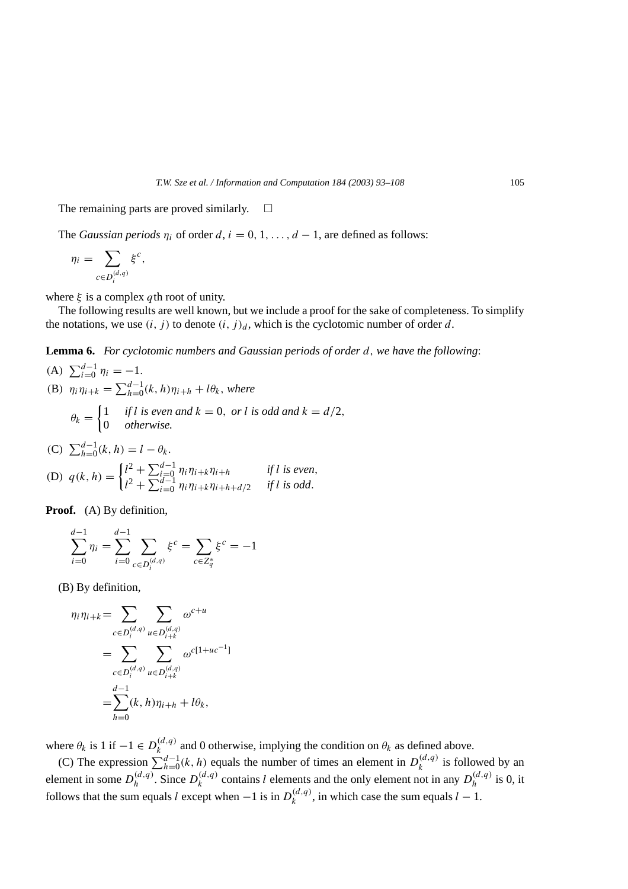The remaining parts are proved similarly.  $\square$ 

The *Gaussian periods*  $\eta_i$  of order  $d$ ,  $i = 0, 1, \ldots, d - 1$ , are defined as follows:

$$
\eta_i = \sum_{c \in D_i^{(d,q)}} \xi^c,
$$

where *ξ* is a complex *q*th root of unity.

The following results are well known, but we include a proof for the sake of completeness. To simplify the notations, we use  $(i, j)$  to denote  $(i, j)<sub>d</sub>$ , which is the cyclotomic number of order *d*.

**Lemma 6.** *For cyclotomic numbers and Gaussian periods of order d, we have the following*:

(A) 
$$
\sum_{i=0}^{d-1} \eta_i = -1.
$$
  
\n(B) 
$$
\eta_i \eta_{i+k} = \sum_{h=0}^{d-1} (k, h) \eta_{i+h} + l\theta_k
$$
, where  
\n
$$
\theta_k = \begin{cases} 1 & \text{if } l \text{ is even and } k = 0, \text{ or } l \text{ is odd and } k = d/2, \\ 0 & \text{otherwise.} \end{cases}
$$

(C) 
$$
\sum_{h=0}^{d-1} (k, h) = l - \theta_k
$$
.

(D) 
$$
q(k, h) = \begin{cases} l^2 + \sum_{i=0}^{d-1} \eta_i \eta_{i+k} \eta_{i+h} & \text{if } l \text{ is even,} \\ l^2 + \sum_{i=0}^{d-1} \eta_i \eta_{i+k} \eta_{i+h+d/2} & \text{if } l \text{ is odd.} \end{cases}
$$

**Proof.** (A) By definition,

$$
\sum_{i=0}^{d-1} \eta_i = \sum_{i=0}^{d-1} \sum_{c \in D_i^{(d,q)}} \xi^c = \sum_{c \in Z_q^*} \xi^c = -1
$$

(B) By definition,

$$
\eta_i \eta_{i+k} = \sum_{c \in D_i^{(d,q)}} \sum_{u \in D_{i+k}^{(d,q)}} \omega^{c+u}
$$
  
= 
$$
\sum_{c \in D_i^{(d,q)}} \sum_{u \in D_{i+k}^{(d,q)}} \omega^{c[1+uc^{-1}]}
$$
  
= 
$$
\sum_{h=0}^{d-1} (k, h) \eta_{i+h} + l\theta_k,
$$

where  $\theta_k$  is 1 if  $-1 \in D_k^{(d,q)}$  and 0 otherwise, implying the condition on  $\theta_k$  as defined above.

(C) The expression  $\sum_{h=0}^{d-1}(k, h)$  equals the number of times an element in  $D_k^{(d,q)}$  is followed by an element in some  $D_h^{(d,q)}$ . Since  $D_k^{(d,q)}$  contains *l* elements and the only element not in any  $D_h^{(d,q)}$  is 0, it follows that the sum equals *l* except when  $-1$  is in  $D_k^{(d,q)}$ , in which case the sum equals  $l-1$ .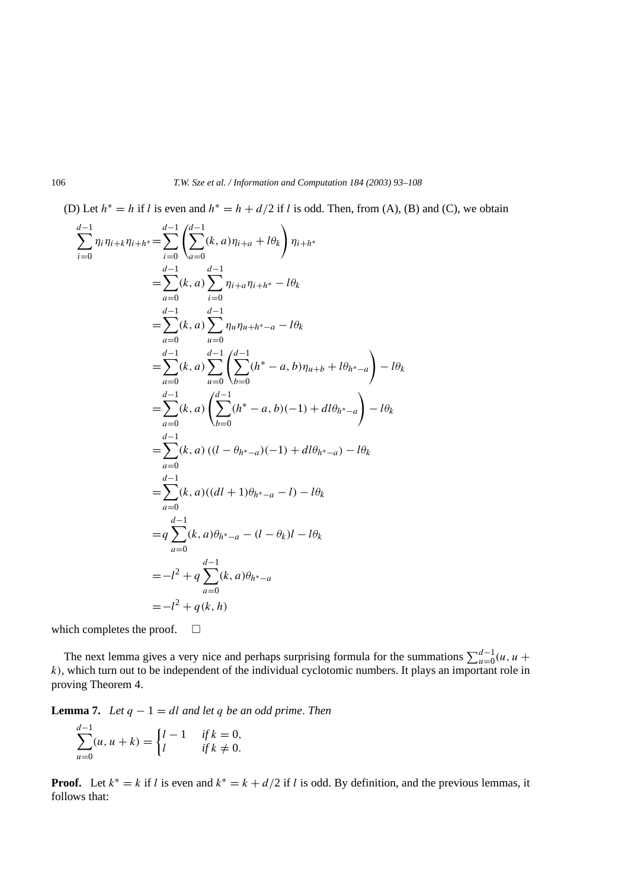(D) Let  $h^* = h$  if *l* is even and  $h^* = h + d/2$  if *l* is odd. Then, from (A), (B) and (C), we obtain

$$
\sum_{i=0}^{d-1} \eta_i \eta_{i+k} \eta_{i+h^*} = \sum_{i=0}^{d-1} \left( \sum_{a=0}^{d-1} (k, a) \eta_{i+a} + l \theta_k \right) \eta_{i+h^*}
$$
  
\n
$$
= \sum_{a=0}^{d-1} (k, a) \sum_{i=0}^{d-1} \eta_{i+a} \eta_{i+h^*} - l \theta_k
$$
  
\n
$$
= \sum_{a=0}^{d-1} (k, a) \sum_{u=0}^{d-1} \eta_u \eta_{u+h^*-a} - l \theta_k
$$
  
\n
$$
= \sum_{a=0}^{d-1} (k, a) \sum_{u=0}^{d-1} \left( \sum_{b=0}^{d-1} (h^* - a, b) \eta_{u+b} + l \theta_{h^*-a} \right) - l \theta_k
$$
  
\n
$$
= \sum_{a=0}^{d-1} (k, a) \left( \sum_{b=0}^{d-1} (h^* - a, b) (-1) + dl \theta_{h^*-a} \right) - l \theta_k
$$
  
\n
$$
= \sum_{a=0}^{d-1} (k, a) ((l - \theta_{h^*-a})(-1) + dl \theta_{h^*-a}) - l \theta_k
$$
  
\n
$$
= \sum_{a=0}^{d-1} (k, a) ((dl + 1) \theta_{h^*-a} - l) - l \theta_k
$$
  
\n
$$
= q \sum_{a=0}^{d-1} (k, a) \theta_{h^*-a} - (l - \theta_k)l - l \theta_k
$$
  
\n
$$
= -l^2 + q \sum_{a=0}^{d-1} (k, a) \theta_{h^*-a}
$$
  
\n
$$
= -l^2 + q(k, h)
$$

which completes the proof.  $\square$ 

The next lemma gives a very nice and perhaps surprising formula for the summations  $\sum_{u=0}^{d-1} (u, u +$ *k)*, which turn out to be independent of the individual cyclotomic numbers. It plays an important role in proving Theorem 4.

**Lemma 7.** *Let*  $q - 1 = dl$  *and let*  $q$  *be an odd prime. Then* 

$$
\sum_{u=0}^{d-1} (u, u + k) = \begin{cases} l - 1 & \text{if } k = 0, \\ l & \text{if } k \neq 0. \end{cases}
$$

**Proof.** Let  $k^* = k$  if *l* is even and  $k^* = k + d/2$  if *l* is odd. By definition, and the previous lemmas, it follows that: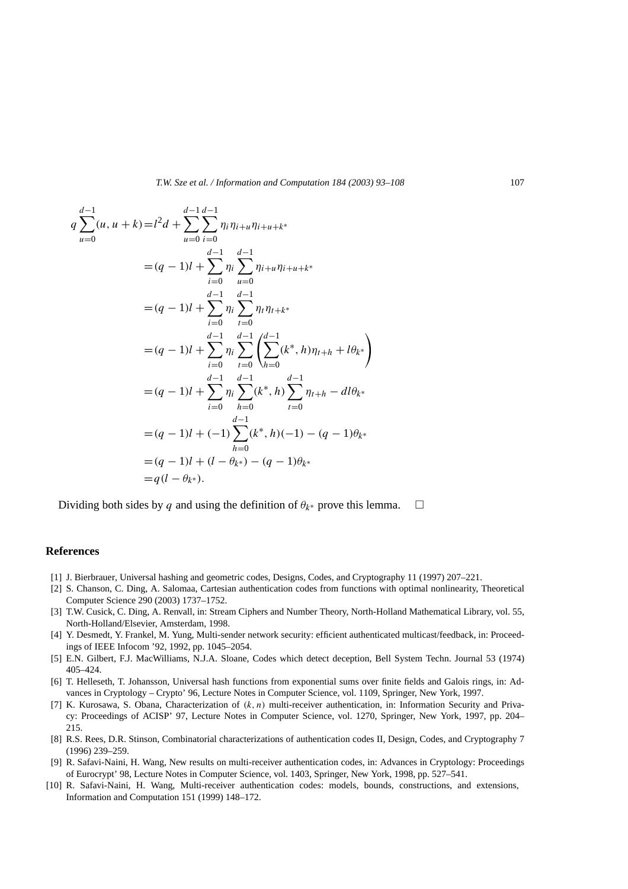$$
q \sum_{u=0}^{d-1} (u, u + k) = l^2 d + \sum_{u=0}^{d-1} \sum_{i=0}^{d-1} \eta_i \eta_{i+u} \eta_{i+u+k*}
$$
  
\n
$$
= (q-1)l + \sum_{i=0}^{d-1} \eta_i \sum_{u=0}^{d-1} \eta_{i+u} \eta_{i+u+k*}
$$
  
\n
$$
= (q-1)l + \sum_{i=0}^{d-1} \eta_i \sum_{v=0}^{d-1} \eta_i \eta_{v+k*}
$$
  
\n
$$
= (q-1)l + \sum_{i=0}^{d-1} \eta_i \sum_{v=0}^{d-1} \left( \sum_{h=0}^{d-1} (k^*, h) \eta_{t+h} + l\theta_{k*} \right)
$$
  
\n
$$
= (q-1)l + \sum_{i=0}^{d-1} \eta_i \sum_{h=0}^{d-1} (k^*, h) \sum_{v=0}^{d-1} \eta_{t+h} - dl\theta_{k*}
$$
  
\n
$$
= (q-1)l + (-1) \sum_{h=0}^{d-1} (k^*, h) (-1) - (q-1)\theta_{k*}
$$
  
\n
$$
= (q-1)l + (l - \theta_{k*}) - (q-1)\theta_{k*}
$$
  
\n
$$
= q(l - \theta_{k*}).
$$

Dividing both sides by *q* and using the definition of  $\theta_{k^*}$  prove this lemma.  $\square$ 

#### **References**

- [1] J. Bierbrauer, Universal hashing and geometric codes, Designs, Codes, and Cryptography 11 (1997) 207–221.
- [2] S. Chanson, C. Ding, A. Salomaa, Cartesian authentication codes from functions with optimal nonlinearity, Theoretical Computer Science 290 (2003) 1737–1752.
- [3] T.W. Cusick, C. Ding, A. Renvall, in: Stream Ciphers and Number Theory, North-Holland Mathematical Library, vol. 55, North-Holland/Elsevier, Amsterdam, 1998.
- [4] Y. Desmedt, Y. Frankel, M. Yung, Multi-sender network security: efficient authenticated multicast/feedback, in: Proceedings of IEEE Infocom '92, 1992, pp. 1045–2054.
- [5] E.N. Gilbert, F.J. MacWilliams, N.J.A. Sloane, Codes which detect deception, Bell System Techn. Journal 53 (1974) 405–424.
- [6] T. Helleseth, T. Johansson, Universal hash functions from exponential sums over finite fields and Galois rings, in: Advances in Cryptology – Crypto' 96, Lecture Notes in Computer Science, vol. 1109, Springer, New York, 1997.
- [7] K. Kurosawa, S. Obana, Characterization of *(k, n)* multi-receiver authentication, in: Information Security and Privacy: Proceedings of ACISP' 97, Lecture Notes in Computer Science, vol. 1270, Springer, New York, 1997, pp. 204– 215.
- [8] R.S. Rees, D.R. Stinson, Combinatorial characterizations of authentication codes II, Design, Codes, and Cryptography 7 (1996) 239–259.
- [9] R. Safavi-Naini, H. Wang, New results on multi-receiver authentication codes, in: Advances in Cryptology: Proceedings of Eurocrypt' 98, Lecture Notes in Computer Science, vol. 1403, Springer, New York, 1998, pp. 527–541.
- [10] R. Safavi-Naini, H. Wang, Multi-receiver authentication codes: models, bounds, constructions, and extensions, Information and Computation 151 (1999) 148–172.